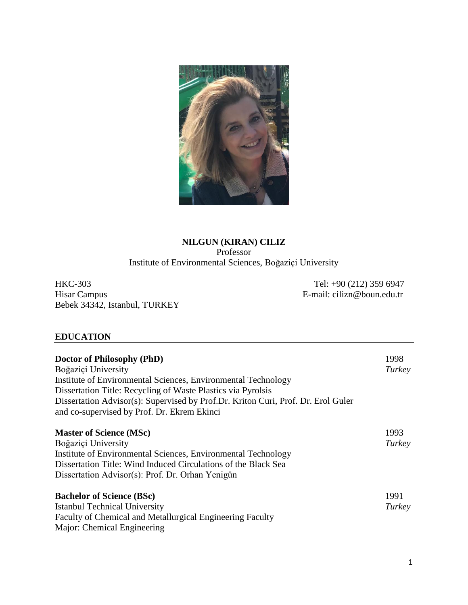

# **NILGUN (KIRAN) CILIZ** Professor Institute of Environmental Sciences, Boğaziçi University

HKC-303 Tel: +90 (212) 359 6947<br>Hisar Campus E-mail: cilizn@boun.edu.tr Bebek 34342, Istanbul, TURKEY

E-mail: cilizn@boun.edu.tr

# **EDUCATION**

| Doctor of Philosophy (PhD)<br>Boğaziçi University<br>Institute of Environmental Sciences, Environmental Technology<br>Dissertation Title: Recycling of Waste Plastics via Pyrolsis<br>Dissertation Advisor(s): Supervised by Prof.Dr. Kriton Curi, Prof. Dr. Erol Guler<br>and co-supervised by Prof. Dr. Ekrem Ekinci | 1998<br>Turkey |
|------------------------------------------------------------------------------------------------------------------------------------------------------------------------------------------------------------------------------------------------------------------------------------------------------------------------|----------------|
| <b>Master of Science (MSc)</b><br>Boğaziçi University<br>Institute of Environmental Sciences, Environmental Technology<br>Dissertation Title: Wind Induced Circulations of the Black Sea<br>Dissertation Advisor(s): Prof. Dr. Orhan Yenigün                                                                           | 1993<br>Turkey |
| <b>Bachelor of Science (BSc)</b><br><b>Istanbul Technical University</b><br>Faculty of Chemical and Metallurgical Engineering Faculty<br>Major: Chemical Engineering                                                                                                                                                   | 1991<br>Turkey |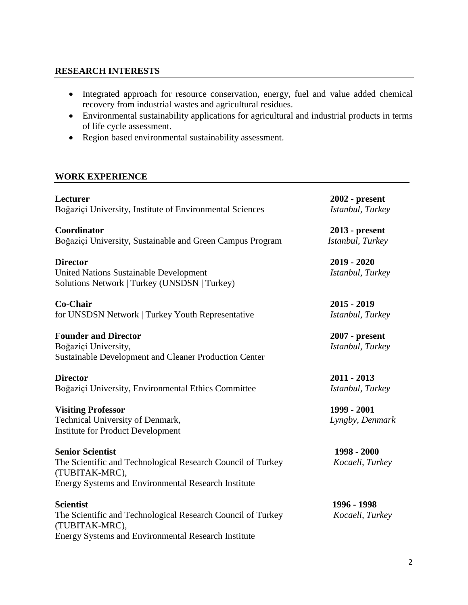## **RESEARCH INTERESTS**

- Integrated approach for resource conservation, energy, fuel and value added chemical recovery from industrial wastes and agricultural residues.
- Environmental sustainability applications for agricultural and industrial products in terms of life cycle assessment.
- Region based environmental sustainability assessment.

## **WORK EXPERIENCE**

**Lecturer 2002 - present** Boğaziçi University, Institute of Environmental Sciences *Istanbul, Turkey*

**Coordinator 2013 - present** Boğaziçi University, Sustainable and Green Campus Program *Istanbul, Turkey*

**Director 2019 - 2020** United Nations Sustainable Development *Istanbul, Turkey* Solutions Network | Turkey (UNSDSN | Turkey)

**Co-Chair 2015 - 2019** for UNSDSN Network | Turkey Youth Representative *Istanbul, Turkey*

### **Founder and Director 2007 - present**

Boğaziçi University, *Istanbul, Turkey* Sustainable Development and Cleaner Production Center

**Director 2011 - 2013** Boğaziçi University, Environmental Ethics Committee *Istanbul, Turkey*

**Visiting Professor 1999 - 2001** Technical University of Denmark, *Lyngby, Denmark* Institute for Product Development

**Senior Scientist 1998 - 2000** The Scientific and Technological Research Council of Turkey *Kocaeli, Turkey* (TUBITAK-MRC), Energy Systems and Environmental Research Institute

**Scientist 1996 - 1998** The Scientific and Technological Research Council of Turkey *Kocaeli, Turkey* (TUBITAK-MRC), Energy Systems and Environmental Research Institute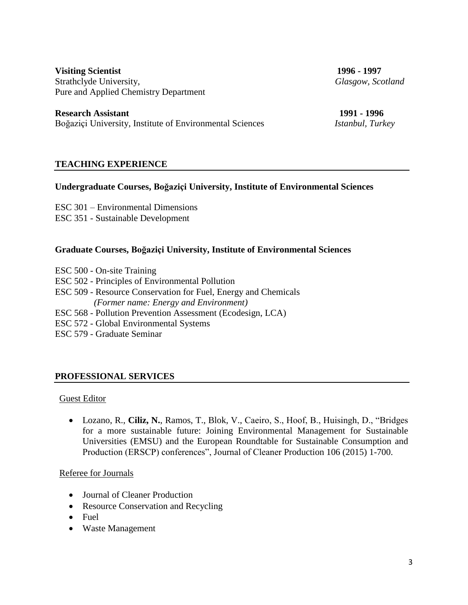**Visiting Scientist 1996 - 1997** Strathclyde University, *Glasgow, Scotland* Pure and Applied Chemistry Department

**Research Assistant 1991 - 1996** Boğaziçi University, Institute of Environmental Sciences *Istanbul, Turkey*

## **TEACHING EXPERIENCE**

### **Undergraduate Courses, Boğaziçi University, Institute of Environmental Sciences**

ESC 301 – Environmental Dimensions

ESC 351 - Sustainable Development

### **Graduate Courses, Boğaziçi University, Institute of Environmental Sciences**

- ESC 500 On-site Training
- ESC 502 Principles of Environmental Pollution
- ESC 509 Resource Conservation for Fuel, Energy and Chemicals  *(Former name: Energy and Environment)*
- ESC 568 Pollution Prevention Assessment (Ecodesign, LCA)
- ESC 572 Global Environmental Systems
- ESC 579 Graduate Seminar

### **PROFESSIONAL SERVICES**

### Guest Editor

 Lozano, R., **Ciliz, N.**, Ramos, T., Blok, V., Caeiro, S., Hoof, B., Huisingh, D., "Bridges for a more sustainable future: Joining Environmental Management for Sustainable Universities (EMSU) and the European Roundtable for Sustainable Consumption and Production (ERSCP) conferences", Journal of Cleaner Production 106 (2015) 1-700.

### Referee for Journals

- Journal of Cleaner Production
- Resource Conservation and Recycling
- Fuel
- Waste Management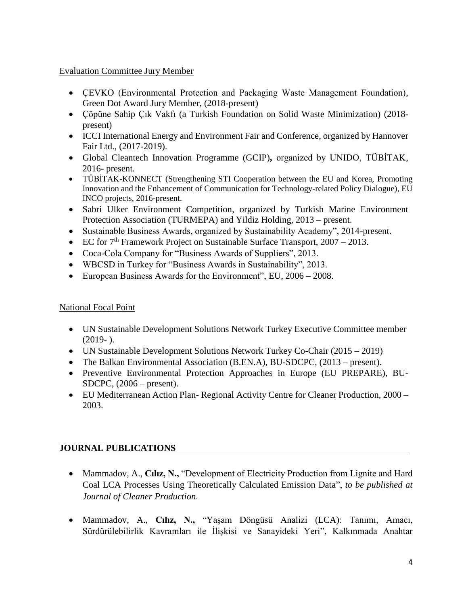## Evaluation Committee Jury Member

- ÇEVKO (Environmental Protection and Packaging Waste Management Foundation), Green Dot Award Jury Member, (2018-present)
- Çöpüne Sahip Çık Vakfı (a Turkish Foundation on Solid Waste Minimization) (2018 present)
- ICCI International Energy and Environment Fair and Conference, organized by Hannover Fair Ltd., (2017-2019).
- [Global Cleantech Innovation Programme \(GCIP\)](http://turkey.cleantechopen.org/)**,** organized by UNIDO, TÜBİTAK, 2016- present.
- TÜBİTAK-KONNECT (Strengthening STI Cooperation between the EU and Korea, Promoting Innovation and the Enhancement of Communication for Technology-related Policy Dialogue), EU INCO projects, 2016-present.
- Sabri Ulker Environment Competition, organized by Turkish Marine Environment Protection Association (TURMEPA) and Yildiz Holding, 2013 – present.
- Sustainable Business Awards, organized by Sustainability Academy", 2014-present.
- EC for  $7<sup>th</sup>$  Framework Project on Sustainable Surface Transport,  $2007 2013$ .
- Coca-Cola Company for "Business Awards of Suppliers", 2013.
- WBCSD in Turkey for "Business Awards in Sustainability", 2013.
- European Business Awards for the Environment", EU, 2006 2008.

## National Focal Point

- UN Sustainable Development Solutions Network Turkey Executive Committee member  $(2019-).$
- UN Sustainable Development Solutions Network Turkey Co-Chair (2015 2019)
- The Balkan Environmental Association (B.EN.A), BU-SDCPC, (2013 present).
- Preventive Environmental Protection Approaches in Europe (EU PREPARE), BU-SDCPC, (2006 – present).
- EU Mediterranean Action Plan- Regional Activity Centre for Cleaner Production, 2000 2003.

# **JOURNAL PUBLICATIONS**

- Mammadov, A., C**ılız, N.,** "Development of Electricity Production from Lignite and Hard Coal LCA Processes Using Theoretically Calculated Emission Data", *to be published at Journal of Cleaner Production.*
- Mammadov, A., **Cılız, N.,** "Yaşam Döngüsü Analizi (LCA): Tanımı, Amacı, Sürdürülebilirlik Kavramları ile İlişkisi ve Sanayideki Yeri", Kalkınmada Anahtar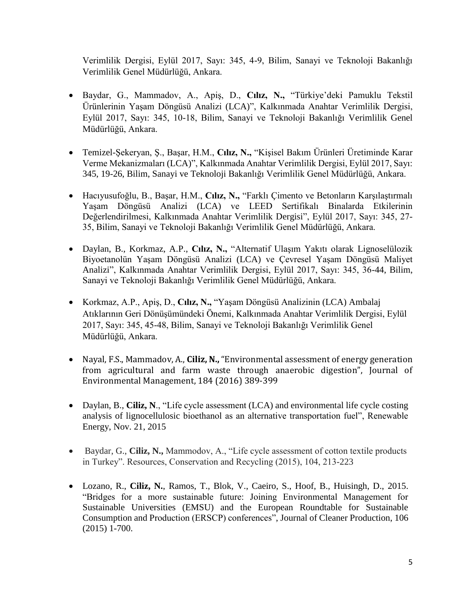Verimlilik Dergisi, Eylül 2017, Sayı: 345, 4-9, Bilim, Sanayi ve Teknoloji Bakanlığı Verimlilik Genel Müdürlüğü, Ankara.

- Baydar, G., Mammadov, A., Apiş, D., **Cılız, N.,** "Türkiye'deki Pamuklu Tekstil Ürünlerinin Yaşam Döngüsü Analizi (LCA)", Kalkınmada Anahtar Verimlilik Dergisi, Eylül 2017, Sayı: 345, 10-18, Bilim, Sanayi ve Teknoloji Bakanlığı Verimlilik Genel Müdürlüğü, Ankara.
- Temizel-Şekeryan, Ş., Başar, H.M., **Cılız, N.,** "Kişisel Bakım Ürünleri Üretiminde Karar Verme Mekanizmaları (LCA)", Kalkınmada Anahtar Verimlilik Dergisi, Eylül 2017, Sayı: 345, 19-26, Bilim, Sanayi ve Teknoloji Bakanlığı Verimlilik Genel Müdürlüğü, Ankara.
- Hacıyusufoğlu, B., Başar, H.M., **Cılız, N.,** "Farklı Çimento ve Betonların Karşılaştırmalı Yaşam Döngüsü Analizi (LCA) ve LEED Sertifikalı Binalarda Etkilerinin Değerlendirilmesi, Kalkınmada Anahtar Verimlilik Dergisi", Eylül 2017, Sayı: 345, 27- 35, Bilim, Sanayi ve Teknoloji Bakanlığı Verimlilik Genel Müdürlüğü, Ankara.
- Daylan, B., Korkmaz, A.P., **Cılız, N.,** "Alternatif Ulaşım Yakıtı olarak Lignoselülozik Biyoetanolün Yaşam Döngüsü Analizi (LCA) ve Çevresel Yaşam Döngüsü Maliyet Analizi", Kalkınmada Anahtar Verimlilik Dergisi, Eylül 2017, Sayı: 345, 36-44, Bilim, Sanayi ve Teknoloji Bakanlığı Verimlilik Genel Müdürlüğü, Ankara.
- Korkmaz, A.P., Apiş, D., **Cılız, N.,** "Yaşam Döngüsü Analizinin (LCA) Ambalaj Atıklarının Geri Dönüşümündeki Önemi, Kalkınmada Anahtar Verimlilik Dergisi, Eylül 2017, Sayı: 345, 45-48, Bilim, Sanayi ve Teknoloji Bakanlığı Verimlilik Genel Müdürlüğü, Ankara.
- Nayal, F.S., Mammadov, A., **Ciliz, N.,** "Environmental assessment of energy generation from agricultural and farm waste through anaerobic digestion", Journal of Environmental Management, 184 (2016) 389-399
- Daylan, B., **Ciliz, N.**, "Life cycle assessment (LCA) and environmental life cycle costing analysis of lignocellulosic bioethanol as an alternative transportation fuel", Renewable Energy, Nov. 21, 2015
- Baydar, G., **Ciliz, N.,** Mammodov, A., "Life cycle assessment of cotton textile products in Turkey". Resources, Conservation and Recycling (2015), 104, 213-223
- Lozano, R., **Ciliz, N.**, Ramos, T., Blok, V., Caeiro, S., Hoof, B., Huisingh, D., 2015. "Bridges for a more sustainable future: Joining Environmental Management for Sustainable Universities (EMSU) and the European Roundtable for Sustainable Consumption and Production (ERSCP) conferences", Journal of Cleaner Production, 106 (2015) 1-700.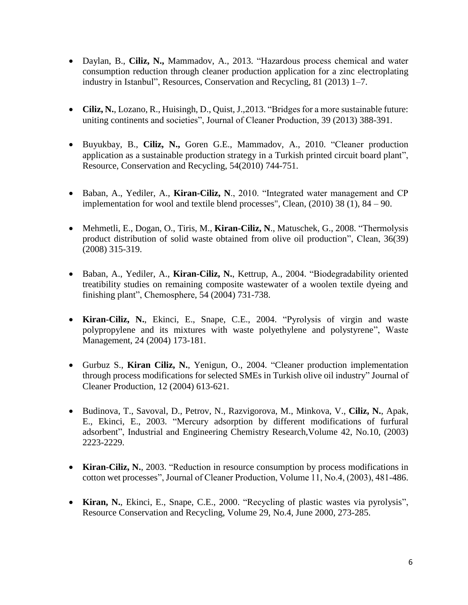- Daylan, B., **Ciliz, N.,** Mammadov, A., 2013. "Hazardous process chemical and water consumption reduction through cleaner production application for a zinc electroplating industry in Istanbul", Resources, Conservation and Recycling, 81 (2013) 1–7.
- **Ciliz, N.**, Lozano, R., Huisingh, D., Quist, J.,2013. "Bridges for a more sustainable future: uniting continents and societies", Journal of Cleaner Production, 39 (2013) 388-391.
- Buyukbay, B., **Ciliz, N.,** Goren G.E., Mammadov, A., 2010. "Cleaner production application as a sustainable production strategy in a Turkish printed circuit board plant", Resource, Conservation and Recycling, 54(2010) 744-751.
- Baban, A., Yediler, A., **Kiran-Ciliz, N**., 2010. "Integrated water management and CP implementation for wool and textile blend processes", Clean, (2010) 38 (1), 84 – 90.
- Mehmetli, E., Dogan, O., Tiris, M., **Kiran-Ciliz, N**., Matuschek, G., 2008. "Thermolysis product distribution of solid waste obtained from olive oil production", Clean, 36(39) (2008) 315-319.
- Baban, A., Yediler, A., **Kiran-Ciliz, N.**, Kettrup, A., 2004. "Biodegradability oriented treatibility studies on remaining composite wastewater of a woolen textile dyeing and finishing plant", Chemosphere, 54 (2004) 731-738.
- **Kiran-Ciliz, N.**, Ekinci, E., Snape, C.E., 2004. "Pyrolysis of virgin and waste polypropylene and its mixtures with waste polyethylene and polystyrene", Waste Management, 24 (2004) 173-181.
- Gurbuz S., **Kiran Ciliz, N.**, Yenigun, O., 2004. "Cleaner production implementation through process modifications for selected SMEs in Turkish olive oil industry" Journal of Cleaner Production, 12 (2004) 613-621.
- Budinova, T., Savoval, D., Petrov, N., Razvigorova, M., Minkova, V., **Ciliz, N.**, Apak, E., Ekinci, E., 2003. "Mercury adsorption by different modifications of furfural adsorbent", Industrial and Engineering Chemistry Research,Volume 42, No.10, (2003) 2223-2229.
- **Kiran-Ciliz, N.**, 2003. "Reduction in resource consumption by process modifications in cotton wet processes", Journal of Cleaner Production, Volume 11, No.4, (2003), 481-486.
- **Kiran, N.**, Ekinci, E., Snape, C.E., 2000. "Recycling of plastic wastes via pyrolysis", Resource Conservation and Recycling, Volume 29, No.4, June 2000, 273-285.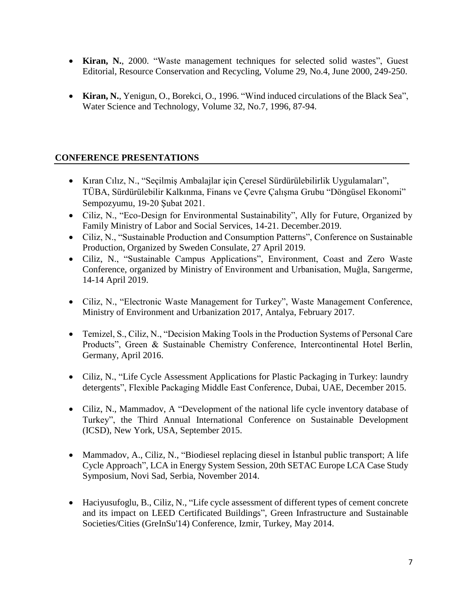- **Kiran, N.**, 2000. "Waste management techniques for selected solid wastes", Guest Editorial, Resource Conservation and Recycling, Volume 29, No.4, June 2000, 249-250.
- **Kiran, N.**, Yenigun, O., Borekci, O., 1996. "Wind induced circulations of the Black Sea", Water Science and Technology, Volume 32, No.7, 1996, 87-94.

# **CONFERENCE PRESENTATIONS**

- Kıran Cılız, N., "Seçilmiş Ambalajlar için Çeresel Sürdürülebilirlik Uygulamaları", TÜBA, Sürdürülebilir Kalkınma, Finans ve Çevre Çalışma Grubu "Döngüsel Ekonomi" Sempozyumu, 19-20 Şubat 2021.
- Ciliz, N., "Eco-Design for Environmental Sustainability", Ally for Future, Organized by Family Ministry of Labor and Social Services, 14-21. December.2019.
- Ciliz, N., "Sustainable Production and Consumption Patterns", Conference on Sustainable Production, Organized by Sweden Consulate, 27 April 2019.
- Ciliz, N., "Sustainable Campus Applications", Environment, Coast and Zero Waste Conference, organized by Ministry of Environment and Urbanisation, Muğla, Sarıgerme, 14-14 April 2019.
- Ciliz, N., "Electronic Waste Management for Turkey", Waste Management Conference, Ministry of Environment and Urbanization 2017, Antalya, February 2017.
- Temizel, S., Ciliz, N., "Decision Making Tools in the Production Systems of Personal Care Products", Green & Sustainable Chemistry Conference, Intercontinental Hotel Berlin, Germany, April 2016.
- Ciliz, N., "Life Cycle Assessment Applications for Plastic Packaging in Turkey: laundry detergents", Flexible Packaging Middle East Conference, Dubai, UAE, December 2015.
- Ciliz, N., Mammadov, A "Development of the national life cycle inventory database of Turkey", the Third Annual International Conference on Sustainable Development (ICSD), New York, USA, September 2015.
- Mammadov, A., Ciliz, N., "Biodiesel replacing diesel in İstanbul public transport; A life Cycle Approach", LCA in Energy System Session, 20th SETAC Europe LCA Case Study Symposium, Novi Sad, Serbia, November 2014.
- Haciyusufoglu, B., Ciliz, N., "Life cycle assessment of different types of cement concrete and its impact on LEED Certificated Buildings", Green Infrastructure and Sustainable Societies/Cities (GreInSu'14) Conference, Izmir, Turkey, May 2014.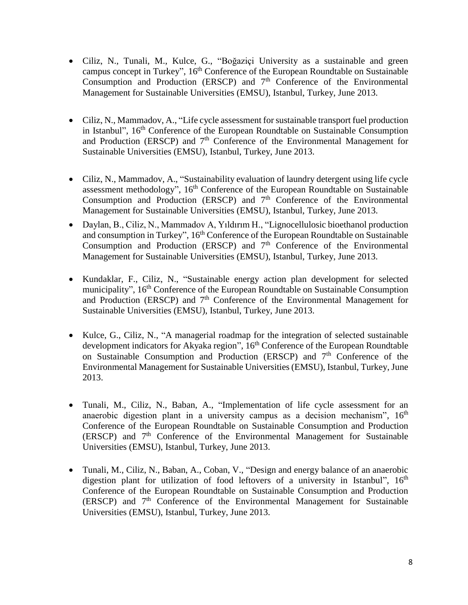- Ciliz, N., Tunali, M., Kulce, G., "Boğaziçi University as a sustainable and green campus concept in Turkey", 16<sup>th</sup> Conference of the European Roundtable on Sustainable Consumption and Production (ERSCP) and  $7<sup>th</sup>$  Conference of the Environmental Management for Sustainable Universities (EMSU), Istanbul, Turkey, June 2013.
- Ciliz, N., Mammadov, A., "Life cycle assessment for sustainable transport fuel production in Istanbul", 16<sup>th</sup> Conference of the European Roundtable on Sustainable Consumption and Production (ERSCP) and  $7<sup>th</sup>$  Conference of the Environmental Management for Sustainable Universities (EMSU), Istanbul, Turkey, June 2013.
- Ciliz, N., Mammadov, A., "Sustainability evaluation of laundry detergent using life cycle assessment methodology", 16<sup>th</sup> Conference of the European Roundtable on Sustainable Consumption and Production (ERSCP) and  $7<sup>th</sup>$  Conference of the Environmental Management for Sustainable Universities (EMSU), Istanbul, Turkey, June 2013.
- Daylan, B., Ciliz, N., Mammadov A, Yıldırım H., "Lignocellulosic bioethanol production and consumption in Turkey", 16<sup>th</sup> Conference of the European Roundtable on Sustainable Consumption and Production (ERSCP) and  $7<sup>th</sup>$  Conference of the Environmental Management for Sustainable Universities (EMSU), Istanbul, Turkey, June 2013.
- Kundaklar, F., Ciliz, N., "Sustainable energy action plan development for selected municipality", 16<sup>th</sup> Conference of the European Roundtable on Sustainable Consumption and Production (ERSCP) and  $7<sup>th</sup>$  Conference of the Environmental Management for Sustainable Universities (EMSU), Istanbul, Turkey, June 2013.
- Kulce, G., Ciliz, N., "A managerial roadmap for the integration of selected sustainable development indicators for Akyaka region", 16<sup>th</sup> Conference of the European Roundtable on Sustainable Consumption and Production (ERSCP) and  $7<sup>th</sup>$  Conference of the Environmental Management for Sustainable Universities (EMSU), Istanbul, Turkey, June 2013.
- Tunali, M., Ciliz, N., Baban, A., "Implementation of life cycle assessment for an anaerobic digestion plant in a university campus as a decision mechanism", 16<sup>th</sup> Conference of the European Roundtable on Sustainable Consumption and Production (ERSCP) and 7<sup>th</sup> Conference of the Environmental Management for Sustainable Universities (EMSU), Istanbul, Turkey, June 2013.
- Tunali, M., Ciliz, N., Baban, A., Coban, V., "Design and energy balance of an anaerobic digestion plant for utilization of food leftovers of a university in Istanbul", 16<sup>th</sup> Conference of the European Roundtable on Sustainable Consumption and Production (ERSCP) and 7<sup>th</sup> Conference of the Environmental Management for Sustainable Universities (EMSU), Istanbul, Turkey, June 2013.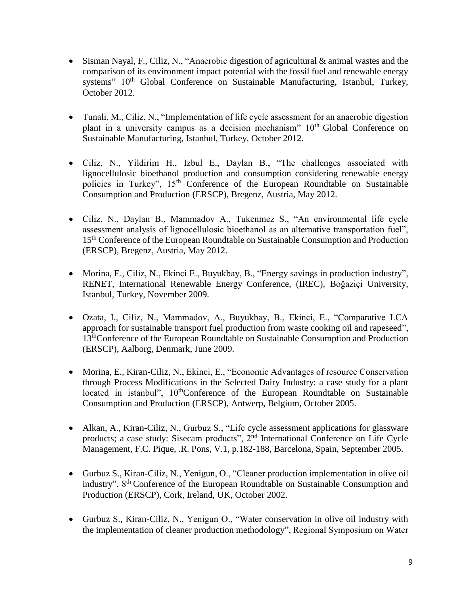- Sisman Nayal, F., Ciliz, N., "Anaerobic digestion of agricultural & animal wastes and the comparison of its environment impact potential with the fossil fuel and renewable energy systems" 10<sup>th</sup> Global Conference on Sustainable Manufacturing, Istanbul, Turkey, October 2012.
- Tunali, M., Ciliz, N., "Implementation of life cycle assessment for an anaerobic digestion plant in a university campus as a decision mechanism" 10<sup>th</sup> Global Conference on Sustainable Manufacturing, Istanbul, Turkey, October 2012.
- Ciliz, N., Yildirim H., Izbul E., Daylan B., "The challenges associated with lignocellulosic bioethanol production and consumption considering renewable energy policies in Turkey", 15<sup>th</sup> Conference of the European Roundtable on Sustainable Consumption and Production (ERSCP), Bregenz, Austria, May 2012.
- Ciliz, N., Daylan B., Mammadov A., Tukenmez S., "An environmental life cycle assessment analysis of lignocellulosic bioethanol as an alternative transportation fuel", 15<sup>th</sup> Conference of the European Roundtable on Sustainable Consumption and Production (ERSCP), Bregenz, Austria, May 2012.
- Morina, E., Ciliz, N., Ekinci E., Buyukbay, B., "Energy savings in production industry", RENET, International Renewable Energy Conference, (IREC), Boğaziçi University, Istanbul, Turkey, November 2009.
- Ozata, I., Ciliz, N., Mammadov, A., Buyukbay, B., Ekinci, E., "Comparative LCA approach for sustainable transport fuel production from waste cooking oil and rapeseed", 13thConference of the European Roundtable on Sustainable Consumption and Production (ERSCP), Aalborg, Denmark, June 2009.
- Morina, E., Kiran-Ciliz, N., Ekinci, E., "Economic Advantages of resource Conservation through Process Modifications in the Selected Dairy Industry: a case study for a plant located in istanbul",  $10<sup>th</sup>$ Conference of the European Roundtable on Sustainable Consumption and Production (ERSCP), Antwerp, Belgium, October 2005.
- Alkan, A., Kiran-Ciliz, N., Gurbuz S., "Life cycle assessment applications for glassware products; a case study: Sisecam products", 2<sup>nd</sup> International Conference on Life Cycle Management, F.C. Pique, .R. Pons, V.1, p.182-188, Barcelona, Spain, September 2005.
- Gurbuz S., Kiran-Ciliz, N., Yenigun, O., "Cleaner production implementation in olive oil industry", 8th Conference of the European Roundtable on Sustainable Consumption and Production (ERSCP), Cork, Ireland, UK, October 2002.
- Gurbuz S., Kiran-Ciliz, N., Yenigun O., "Water conservation in olive oil industry with the implementation of cleaner production methodology", Regional Symposium on Water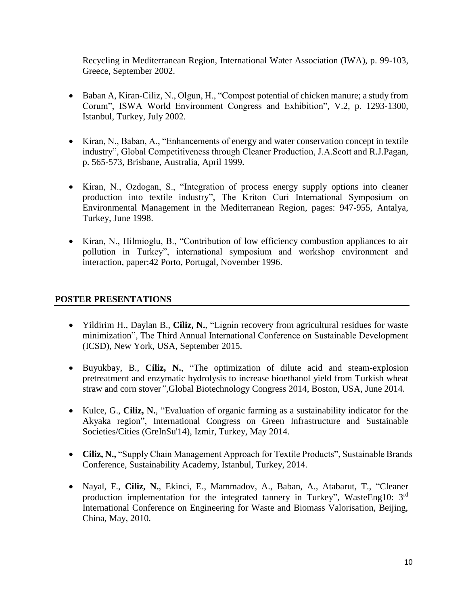Recycling in Mediterranean Region, International Water Association (IWA), p. 99-103, Greece, September 2002.

- Baban A, Kiran-Ciliz, N., Olgun, H., "Compost potential of chicken manure; a study from Corum", ISWA World Environment Congress and Exhibition", V.2, p. 1293-1300, Istanbul, Turkey, July 2002.
- Kiran, N., Baban, A., "Enhancements of energy and water conservation concept in textile industry", Global Competitiveness through Cleaner Production, J.A.Scott and R.J.Pagan, p. 565-573, Brisbane, Australia, April 1999.
- Kiran, N., Ozdogan, S., "Integration of process energy supply options into cleaner production into textile industry", The Kriton Curi International Symposium on Environmental Management in the Mediterranean Region, pages: 947-955, Antalya, Turkey, June 1998.
- Kiran, N., Hilmioglu, B., "Contribution of low efficiency combustion appliances to air pollution in Turkey", international symposium and workshop environment and interaction, paper:42 Porto, Portugal, November 1996.

## **POSTER PRESENTATIONS**

- Yildirim H., Daylan B., **Ciliz, N.**, "Lignin recovery from agricultural residues for waste minimization", The Third Annual International Conference on Sustainable Development (ICSD), New York, USA, September 2015.
- Buyukbay, B., **Ciliz, N.**, "The optimization of dilute acid and steam-explosion pretreatment and enzymatic hydrolysis to increase bioethanol yield from Turkish wheat straw and corn stover*",*Global Biotechnology Congress 2014, Boston, USA, June 2014.
- Kulce, G., **Ciliz, N.**, "Evaluation of organic farming as a sustainability indicator for the Akyaka region", International Congress on Green Infrastructure and Sustainable Societies/Cities (GreInSu'14), Izmir, Turkey, May 2014.
- **Ciliz, N.,** "Supply Chain Management Approach for Textile Products", Sustainable Brands Conference, Sustainability Academy, Istanbul, Turkey, 2014.
- Nayal, F., **Ciliz, N.**, Ekinci, E., Mammadov, A., Baban, A., Atabarut, T., "Cleaner production implementation for the integrated tannery in Turkey", WasteEng10: 3rd International Conference on Engineering for Waste and Biomass Valorisation, Beijing, China, May, 2010.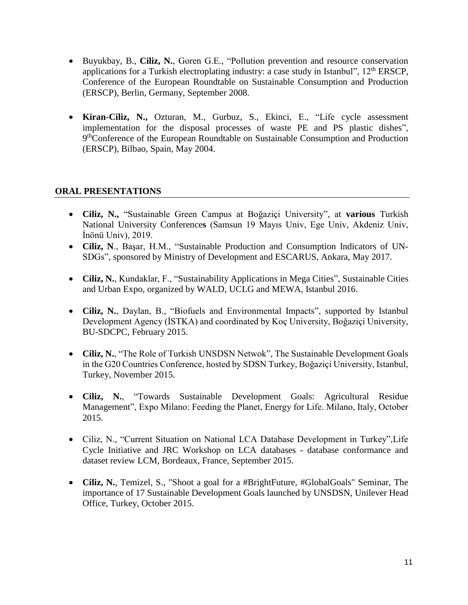- Buyukbay, B., **Ciliz, N.**, Goren G.E., "Pollution prevention and resource conservation applications for a Turkish electroplating industry: a case study in Istanbul", 12<sup>th</sup> ERSCP, Conference of the European Roundtable on Sustainable Consumption and Production (ERSCP), Berlin, Germany, September 2008.
- **Kiran-Ciliz, N.,** Ozturan, M., Gurbuz, S., Ekinci, E., "Life cycle assessment implementation for the disposal processes of waste PE and PS plastic dishes", 9<sup>th</sup>Conference of the European Roundtable on Sustainable Consumption and Production (ERSCP), Bilbao, Spain, May 2004.

# **ORAL PRESENTATIONS**

- **Ciliz, N.,** "Sustainable Green Campus at Boğaziçi University", at **various** Turkish National University Conference**s** (Samsun 19 Mayıs Univ, Ege Univ, Akdeniz Univ, İnönü Univ), 2019.
- **Ciliz, N**., Başar, H.M., "Sustainable Production and Consumption Indicators of UN-SDGs", sponsored by Ministry of Development and ESCARUS, Ankara, May 2017.
- **Ciliz, N.**, Kundaklar, F., "Sustainability Applications in Mega Cities", Sustainable Cities and Urban Expo, organized by WALD, UCLG and MEWA, Istanbul 2016.
- **Ciliz, N.**, Daylan, B., "Biofuels and Environmental Impacts", supported by Istanbul Development Agency (İSTKA) and coordinated by Koç University, Boğaziçi University, BU-SDCPC, February 2015.
- **Ciliz, N.**, "The Role of Turkish UNSDSN Netwok", The Sustainable Development Goals in the G20 Countries Conference, hosted by SDSN Turkey, Boğaziçi University, Istanbul, Turkey, November 2015.
- **Ciliz, N.**, "Towards Sustainable Development Goals: Agricultural Residue Management", Expo Milano: Feeding the Planet, Energy for Life. Milano, Italy, October 2015.
- Ciliz, N., "Current Situation on National LCA Database Development in Turkey",Life Cycle Initiative and JRC Workshop on LCA databases - database conformance and dataset review LCM, Bordeaux, France, September 2015.
- **Ciliz, N.**, Temizel, S., "Shoot a goal for a #BrightFuture, #GlobalGoals" Seminar, The importance of 17 Sustainable Development Goals launched by UNSDSN, Unilever Head Office, Turkey, October 2015.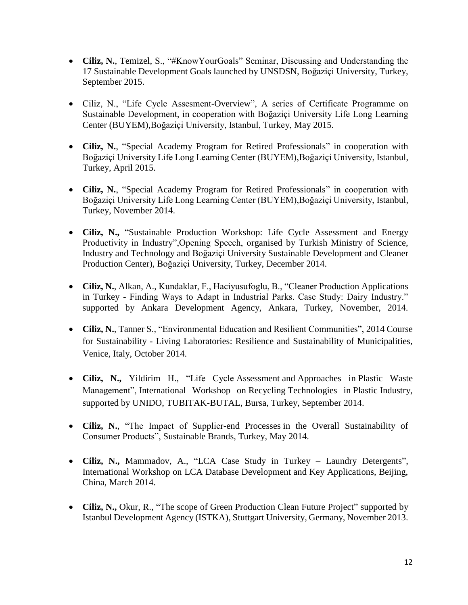- **Ciliz, N.**, Temizel, S., "#KnowYourGoals" Seminar, Discussing and Understanding the 17 Sustainable Development Goals launched by UNSDSN, Boğaziçi University, Turkey, September 2015.
- Ciliz, N., "Life Cycle Assesment-Overview", A series of Certificate Programme on Sustainable Development, in cooperation with Boğaziçi University Life Long Learning Center (BUYEM),Boğaziçi University, Istanbul, Turkey, May 2015.
- **Ciliz, N.**, "Special Academy Program for Retired Professionals" in cooperation with Boğaziçi University Life Long Learning Center (BUYEM),Boğaziçi University, Istanbul, Turkey, April 2015.
- **Ciliz, N.**, "Special Academy Program for Retired Professionals" in cooperation with Boğaziçi University Life Long Learning Center (BUYEM),Boğaziçi University, Istanbul, Turkey, November 2014.
- **Ciliz, N.,** "Sustainable Production Workshop: Life Cycle Assessment and Energy Productivity in Industry",Opening Speech, organised by Turkish Ministry of Science, Industry and Technology and Boğaziçi University Sustainable Development and Cleaner Production Center), Boğaziçi University, Turkey, December 2014.
- **Ciliz, N.**, Alkan, A., Kundaklar, F., Haciyusufoglu, B., "Cleaner Production Applications in Turkey - Finding Ways to Adapt in Industrial Parks. Case Study: Dairy Industry." supported by Ankara Development Agency, Ankara, Turkey, November, 2014.
- **Ciliz, N.**, Tanner S., "Environmental Education and Resilient Communities", 2014 Course for Sustainability - Living Laboratories: Resilience and Sustainability of Municipalities, Venice, Italy, October 2014.
- **Ciliz, N.,** Yildirim H., "Life Cycle Assessment and Approaches in Plastic Waste Management", International Workshop on Recycling Technologies in Plastic Industry, supported by UNIDO, TUBITAK-BUTAL, Bursa, Turkey, September 2014.
- **Ciliz, N.**, "The Impact of Supplier-end Processes in the Overall Sustainability of Consumer Products", Sustainable Brands, Turkey, May 2014.
- **Ciliz, N.,** Mammadov, A., "LCA Case Study in Turkey Laundry Detergents", International Workshop on LCA Database Development and Key Applications, Beijing, China, March 2014.
- Ciliz, N., Okur, R., "The scope of Green Production Clean Future Project" supported by Istanbul Development Agency (ISTKA), Stuttgart University, Germany, November 2013.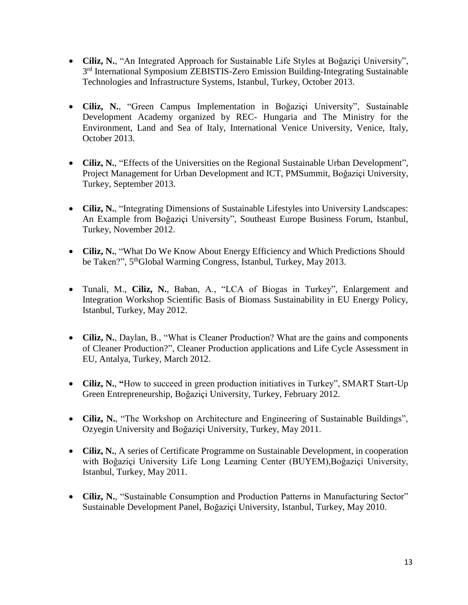- **Ciliz, N.**, "An Integrated Approach for Sustainable Life Styles at Boğaziçi University", 3<sup>rd</sup> International Symposium ZEBISTIS-Zero Emission Building-Integrating Sustainable Technologies and Infrastructure Systems, Istanbul, Turkey, October 2013.
- **Ciliz, N.**, "Green Campus Implementation in Boğaziçi University", Sustainable Development Academy organized by REC- Hungaria and The Ministry for the Environment, Land and Sea of Italy, International Venice University, Venice, Italy, October 2013.
- **Ciliz, N.**, "Effects of the Universities on the Regional Sustainable Urban Development", Project Management for Urban Development and ICT, PMSummit, Boğaziçi University, Turkey, September 2013.
- **Ciliz, N.**, "Integrating Dimensions of Sustainable Lifestyles into University Landscapes: An Example from Boğaziçi University", Southeast Europe Business Forum, Istanbul, Turkey, November 2012.
- **Ciliz, N.**, "What Do We Know About Energy Efficiency and Which Predictions Should be Taken?", 5<sup>th</sup>Global Warming Congress, Istanbul, Turkey, May 2013.
- Tunali, M., **Ciliz, N.**, Baban, A., "LCA of Biogas in Turkey", Enlargement and Integration Workshop Scientific Basis of Biomass Sustainability in EU Energy Policy, Istanbul, Turkey, May 2012.
- Ciliz, N., Daylan, B., "What is Cleaner Production? What are the gains and components of Cleaner Production?", Cleaner Production applications and Life Cycle Assessment in EU, Antalya, Turkey, March 2012.
- **Ciliz, N.**, **"**How to succeed in green production initiatives in Turkey", SMART Start-Up Green Entrepreneurship, Boğaziçi University, Turkey, February 2012.
- **Ciliz, N.**, "The Workshop on Architecture and Engineering of Sustainable Buildings", Ozyegin University and Boğaziçi University, Turkey, May 2011.
- **Ciliz, N.**, A series of Certificate Programme on Sustainable Development, in cooperation with Boğaziçi University Life Long Learning Center (BUYEM),Boğaziçi University, Istanbul, Turkey, May 2011.
- **Ciliz, N.**, "Sustainable Consumption and Production Patterns in Manufacturing Sector" Sustainable Development Panel, Boğaziçi University, Istanbul, Turkey, May 2010.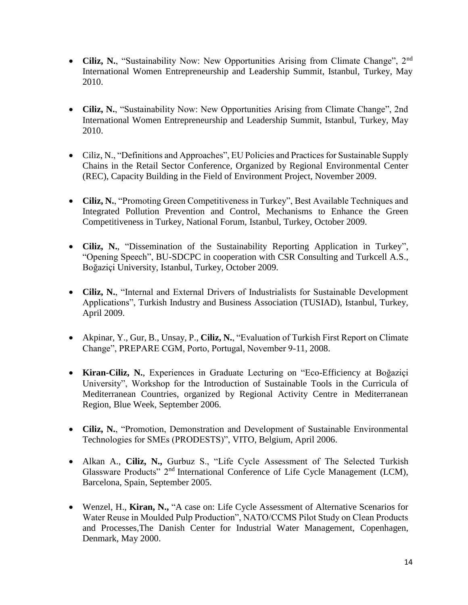- Ciliz, N., "Sustainability Now: New Opportunities Arising from Climate Change", 2<sup>nd</sup> International Women Entrepreneurship and Leadership Summit, Istanbul, Turkey, May 2010.
- **Ciliz, N.**, "Sustainability Now: New Opportunities Arising from Climate Change", 2nd International Women Entrepreneurship and Leadership Summit, Istanbul, Turkey, May 2010.
- Ciliz, N., "Definitions and Approaches", EU Policies and Practices for Sustainable Supply Chains in the Retail Sector Conference, Organized by Regional Environmental Center (REC), Capacity Building in the Field of Environment Project, November 2009.
- **Ciliz, N.**, "Promoting Green Competitiveness in Turkey", Best Available Techniques and Integrated Pollution Prevention and Control, Mechanisms to Enhance the Green Competitiveness in Turkey, National Forum, Istanbul, Turkey, October 2009.
- **Ciliz, N.**, "Dissemination of the Sustainability Reporting Application in Turkey", "Opening Speech", BU-SDCPC in cooperation with CSR Consulting and Turkcell A.S., Boğaziçi University, Istanbul, Turkey, October 2009.
- **Ciliz, N.**, "Internal and External Drivers of Industrialists for Sustainable Development Applications", Turkish Industry and Business Association (TUSIAD), Istanbul, Turkey, April 2009.
- Akpinar, Y., Gur, B., Unsay, P., **Ciliz, N.**, "Evaluation of Turkish First Report on Climate Change", PREPARE CGM, Porto, Portugal, November 9-11, 2008.
- **Kiran-Ciliz, N.**, Experiences in Graduate Lecturing on "Eco-Efficiency at Boğaziçi University", Workshop for the Introduction of Sustainable Tools in the Curricula of Mediterranean Countries, organized by Regional Activity Centre in Mediterranean Region, Blue Week, September 2006.
- **Ciliz, N.**, "Promotion, Demonstration and Development of Sustainable Environmental Technologies for SMEs (PRODESTS)", VITO, Belgium, April 2006.
- Alkan A., **Ciliz, N.,** Gurbuz S., "Life Cycle Assessment of The Selected Turkish Glassware Products" 2nd International Conference of Life Cycle Management (LCM), Barcelona, Spain, September 2005.
- Wenzel, H., **Kiran, N.,** "A case on: Life Cycle Assessment of Alternative Scenarios for Water Reuse in Moulded Pulp Production", NATO/CCMS Pilot Study on Clean Products and Processes,The Danish Center for Industrial Water Management, Copenhagen, Denmark, May 2000.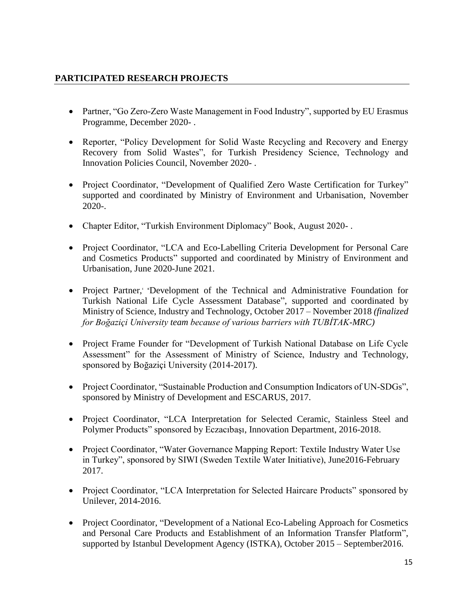# **PARTICIPATED RESEARCH PROJECTS**

- Partner, "Go Zero-Zero Waste Management in Food Industry", supported by EU Erasmus Programme, December 2020- .
- Reporter, "Policy Development for Solid Waste Recycling and Recovery and Energy Recovery from Solid Wastes", for Turkish Presidency Science, Technology and Innovation Policies Council, November 2020- .
- Project Coordinator, "Development of Qualified Zero Waste Certification for Turkey" supported and coordinated by Ministry of Environment and Urbanisation, November 2020-.
- Chapter Editor, "Turkish Environment Diplomacy" Book, August 2020-.
- Project Coordinator, "LCA and Eco-Labelling Criteria Development for Personal Care and Cosmetics Products" supported and coordinated by Ministry of Environment and Urbanisation, June 2020-June 2021.
- Project Partner, "Development of the Technical and Administrative Foundation for Turkish National Life Cycle Assessment Database", supported and coordinated by Ministry of Science, Industry and Technology, October 2017 – November 2018 *(finalized for Boğaziçi University team because of various barriers with TUBİTAK-MRC)*
- Project Frame Founder for "Development of Turkish National Database on Life Cycle Assessment" for the Assessment of Ministry of Science, Industry and Technology, sponsored by Boğaziçi University (2014-2017).
- Project Coordinator, "Sustainable Production and Consumption Indicators of UN-SDGs", sponsored by Ministry of Development and ESCARUS, 2017.
- Project Coordinator, "LCA Interpretation for Selected Ceramic, Stainless Steel and Polymer Products" sponsored by Eczacıbaşı, Innovation Department, 2016-2018.
- Project Coordinator, "Water Governance Mapping Report: Textile Industry Water Use in Turkey", sponsored by SIWI (Sweden Textile Water Initiative), June2016-February 2017.
- Project Coordinator, "LCA Interpretation for Selected Haircare Products" sponsored by Unilever, 2014-2016.
- Project Coordinator, "Development of a National Eco-Labeling Approach for Cosmetics and Personal Care Products and Establishment of an Information Transfer Platform", supported by Istanbul Development Agency (ISTKA), October 2015 – September2016.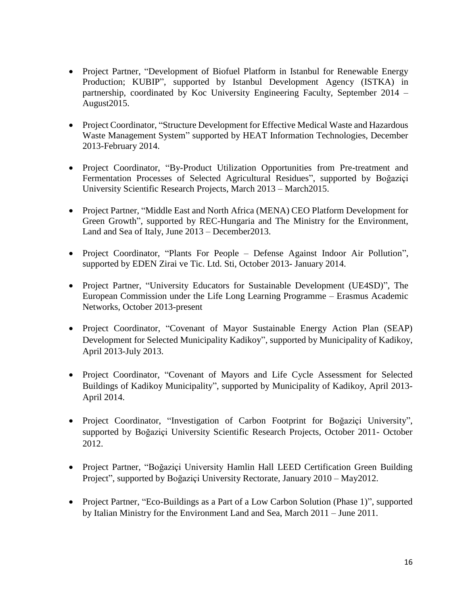- Project Partner, "Development of Biofuel Platform in Istanbul for Renewable Energy Production; KUBIP", supported by Istanbul Development Agency (ISTKA) in partnership, coordinated by Koc University Engineering Faculty, September 2014 – August2015.
- Project Coordinator, "Structure Development for Effective Medical Waste and Hazardous Waste Management System" supported by HEAT Information Technologies, December 2013-February 2014.
- Project Coordinator, "By-Product Utilization Opportunities from Pre-treatment and Fermentation Processes of Selected Agricultural Residues", supported by Boğaziçi University Scientific Research Projects, March 2013 – March2015.
- Project Partner, "Middle East and North Africa (MENA) CEO Platform Development for Green Growth", supported by REC-Hungaria and The Ministry for the Environment, Land and Sea of Italy, June 2013 – December2013.
- Project Coordinator, "Plants For People Defense Against Indoor Air Pollution", supported by EDEN Zirai ve Tic. Ltd. Sti, October 2013- January 2014.
- Project Partner, "University Educators for Sustainable Development (UE4SD)", The European Commission under the Life Long Learning Programme – Erasmus Academic Networks, October 2013-present
- Project Coordinator, "Covenant of Mayor Sustainable Energy Action Plan (SEAP) Development for Selected Municipality Kadikoy", supported by Municipality of Kadikoy, April 2013-July 2013.
- Project Coordinator, "Covenant of Mayors and Life Cycle Assessment for Selected Buildings of Kadikoy Municipality", supported by Municipality of Kadikoy, April 2013- April 2014.
- Project Coordinator, "Investigation of Carbon Footprint for Boğaziçi University", supported by Boğaziçi University Scientific Research Projects, October 2011- October 2012.
- Project Partner, "Boğaziçi University Hamlin Hall LEED Certification Green Building Project", supported by Boğaziçi University Rectorate, January 2010 – May2012.
- Project Partner, "Eco-Buildings as a Part of a Low Carbon Solution (Phase 1)", supported by Italian Ministry for the Environment Land and Sea, March 2011 – June 2011.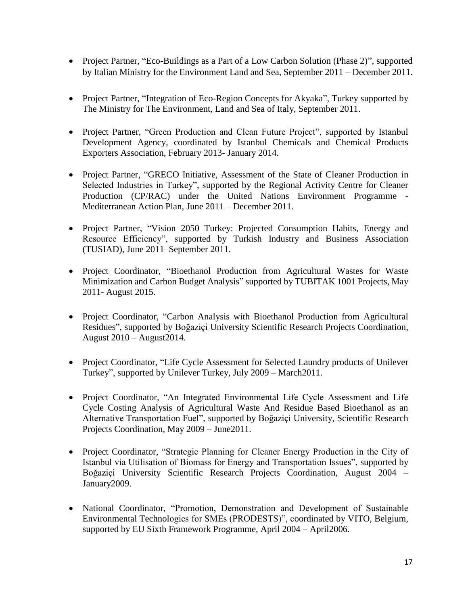- Project Partner, "Eco-Buildings as a Part of a Low Carbon Solution (Phase 2)", supported by Italian Ministry for the Environment Land and Sea, September 2011 – December 2011.
- Project Partner, "Integration of Eco-Region Concepts for Akyaka", Turkey supported by The Ministry for The Environment, Land and Sea of Italy, September 2011.
- Project Partner, "Green Production and Clean Future Project", supported by Istanbul Development Agency, coordinated by Istanbul Chemicals and Chemical Products Exporters Association, February 2013- January 2014.
- Project Partner, "GRECO Initiative, Assessment of the State of Cleaner Production in Selected Industries in Turkey", supported by the Regional Activity Centre for Cleaner Production (CP/RAC) under the United Nations Environment Programme - Mediterranean Action Plan, June 2011 – December 2011.
- Project Partner, "Vision 2050 Turkey: Projected Consumption Habits, Energy and Resource Efficiency", supported by Turkish Industry and Business Association (TUSIAD), June 2011–September 2011.
- Project Coordinator, "Bioethanol Production from Agricultural Wastes for Waste Minimization and Carbon Budget Analysis" supported by TUBITAK 1001 Projects, May 2011- August 2015.
- Project Coordinator, "Carbon Analysis with Bioethanol Production from Agricultural Residues", supported by Boğaziçi University Scientific Research Projects Coordination, August 2010 – August2014.
- Project Coordinator, "Life Cycle Assessment for Selected Laundry products of Unilever Turkey", supported by Unilever Turkey, July 2009 – March2011.
- Project Coordinator, "An Integrated Environmental Life Cycle Assessment and Life Cycle Costing Analysis of Agricultural Waste And Residue Based Bioethanol as an Alternative Transportation Fuel", supported by Boğaziçi University, Scientific Research Projects Coordination, May 2009 – June2011.
- Project Coordinator, "Strategic Planning for Cleaner Energy Production in the City of Istanbul via Utilisation of Biomass for Energy and Transportation Issues", supported by Boğaziçi University Scientific Research Projects Coordination, August 2004 – January2009.
- National Coordinator, "Promotion, Demonstration and Development of Sustainable Environmental Technologies for SMEs (PRODESTS)", coordinated by VITO, Belgium, supported by EU Sixth Framework Programme, April 2004 – April2006.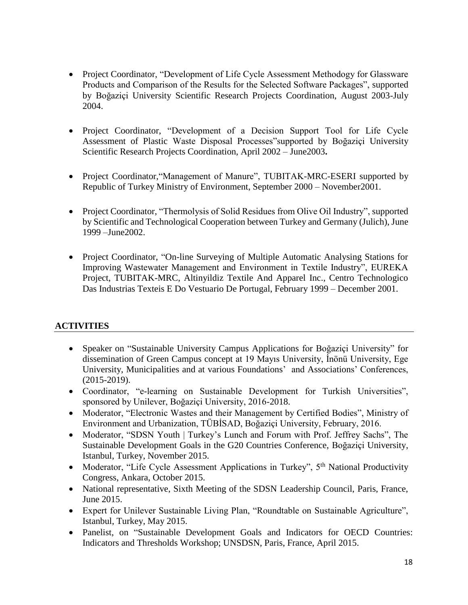- Project Coordinator, "Development of Life Cycle Assessment Methodogy for Glassware Products and Comparison of the Results for the Selected Software Packages", supported by Boğaziçi University Scientific Research Projects Coordination, August 2003-July 2004.
- Project Coordinator, "Development of a Decision Support Tool for Life Cycle Assessment of Plastic Waste Disposal Processes"supported by Boğaziçi University Scientific Research Projects Coordination, April 2002 – June2003**.**
- Project Coordinator, "Management of Manure", TUBITAK-MRC-ESERI supported by Republic of Turkey Ministry of Environment, September 2000 – November2001.
- Project Coordinator, "Thermolysis of Solid Residues from Olive Oil Industry", supported by Scientific and Technological Cooperation between Turkey and Germany (Julich), June 1999 –June2002.
- Project Coordinator, "On-line Surveying of Multiple Automatic Analysing Stations for Improving Wastewater Management and Environment in Textile Industry", EUREKA Project, TUBITAK-MRC, Altinyildiz Textile And Apparel Inc., Centro Technologico Das Industrias Texteis E Do Vestuario De Portugal, February 1999 – December 2001.

# **ACTIVITIES**

- Speaker on "Sustainable University Campus Applications for Boğaziçi University" for dissemination of Green Campus concept at 19 Mayıs University, İnönü University, Ege University, Municipalities and at various Foundations' and Associations' Conferences, (2015-2019).
- Coordinator, "e-learning on Sustainable Development for Turkish Universities", sponsored by Unilever, Boğaziçi University, 2016-2018.
- Moderator, "Electronic Wastes and their Management by Certified Bodies", Ministry of Environment and Urbanization, TÜBİSAD, Boğaziçi University, February, 2016.
- Moderator, "SDSN Youth | Turkey's Lunch and Forum with Prof. Jeffrey Sachs", The Sustainable Development Goals in the G20 Countries Conference, Boğaziçi University, Istanbul, Turkey, November 2015.
- Moderator, "Life Cycle Assessment Applications in Turkey",  $5<sup>th</sup>$  National Productivity Congress, Ankara, October 2015.
- National representative, Sixth Meeting of the SDSN Leadership Council, Paris, France, June 2015.
- Expert for Unilever Sustainable Living Plan, "Roundtable on Sustainable Agriculture", Istanbul, Turkey, May 2015.
- Panelist, on "Sustainable Development Goals and Indicators for OECD Countries: Indicators and Thresholds Workshop; UNSDSN, Paris, France, April 2015.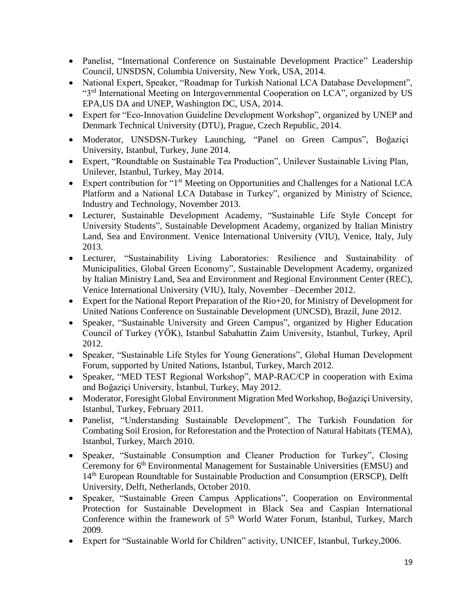- Panelist, "International Conference on Sustainable Development Practice" Leadership Council, UNSDSN, Columbia University, New York, USA, 2014.
- National Expert, Speaker, "Roadmap for Turkish National LCA Database Development", "3rd International Meeting on Intergovernmental Cooperation on LCA", organized by US EPA,US DA and UNEP, Washington DC, USA, 2014.
- Expert for "Eco-Innovation Guideline Development Workshop", organized by UNEP and Denmark Technical University (DTU), Prague, Czech Republic, 2014.
- Moderator, UNSDSN-Turkey Launching, "Panel on Green Campus", Boğaziçi University, Istanbul, Turkey, June 2014.
- Expert, "Roundtable on Sustainable Tea Production", Unilever Sustainable Living Plan, Unilever, Istanbul, Turkey, May 2014.
- Expert contribution for "1<sup>st</sup> Meeting on Opportunities and Challenges for a National LCA Platform and a National LCA Database in Turkey", organized by Ministry of Science, Industry and Technology, November 2013.
- Lecturer, Sustainable Development Academy, "Sustainable Life Style Concept for University Students", Sustainable Development Academy, organized by Italian Ministry Land, Sea and Environment. Venice International University (VIU), Venice, Italy, July 2013.
- Lecturer, "Sustainability Living Laboratories: Resilience and Sustainability of Municipalities, Global Green Economy", Sustainable Development Academy, organized by Italian Ministry Land, Sea and Environment and Regional Environment Center (REC), Venice International University (VIU), Italy, November –December 2012.
- Expert for the National Report Preparation of the Rio+20, for Ministry of Development for United Nations Conference on Sustainable Development (UNCSD), Brazil, June 2012.
- Speaker, "Sustainable University and Green Campus", organized by Higher Education Council of Turkey (YÖK), Istanbul Sabahattin Zaim University, Istanbul, Turkey, April 2012.
- Speaker, "Sustainable Life Styles for Young Generations", Global Human Development Forum, supported by United Nations, Istanbul, Turkey, March 2012.
- Speaker, "MED TEST Regional Workshop", MAP-RAC/CP in cooperation with Exima and Boğaziçi University, İstanbul, Turkey, May 2012.
- Moderator, Foresight Global Environment Migration Med Workshop, Boğaziçi University, Istanbul, Turkey, February 2011.
- Panelist, "Understanding Sustainable Development", The Turkish Foundation for Combating Soil Erosion, for Reforestation and the Protection of Natural Habitats (TEMA), Istanbul, Turkey, March 2010.
- Speaker, "Sustainable Consumption and Cleaner Production for Turkey", Closing Ceremony for 6<sup>th</sup> Environmental Management for Sustainable Universities (EMSU) and 14<sup>th</sup> European Roundtable for Sustainable Production and Consumption (ERSCP), Delft University, Delft, Netherlands, October 2010.
- Speaker, "Sustainable Green Campus Applications", Cooperation on Environmental Protection for Sustainable Development in Black Sea and Caspian International Conference within the framework of  $5<sup>th</sup>$  World Water Forum, Istanbul, Turkey, March 2009.
- Expert for "Sustainable World for Children" activity, UNICEF, Istanbul, Turkey,2006.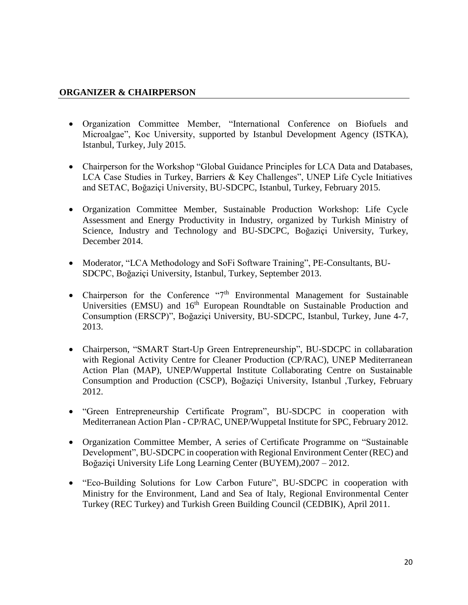## **ORGANIZER & CHAIRPERSON**

- Organization Committee Member, "International Conference on Biofuels and Microalgae", Koc University, supported by Istanbul Development Agency (ISTKA), Istanbul, Turkey, July 2015.
- Chairperson for the Workshop "Global Guidance Principles for LCA Data and Databases, LCA Case Studies in Turkey, Barriers & Key Challenges", UNEP Life Cycle Initiatives and SETAC, Boğaziçi University, BU-SDCPC, Istanbul, Turkey, February 2015.
- Organization Committee Member, Sustainable Production Workshop: Life Cycle Assessment and Energy Productivity in Industry, organized by Turkish Ministry of Science, Industry and Technology and BU-SDCPC, Boğaziçi University, Turkey, December 2014.
- Moderator, "LCA Methodology and SoFi Software Training", PE-Consultants, BU-SDCPC, Boğaziçi University, Istanbul, Turkey, September 2013.
- Chairperson for the Conference  $\mathcal{F}^{\text{th}}$  Environmental Management for Sustainable Universities (EMSU) and  $16<sup>th</sup>$  European Roundtable on Sustainable Production and Consumption (ERSCP)", Boğaziçi University, BU-SDCPC, Istanbul, Turkey, June 4-7, 2013.
- Chairperson, "SMART Start-Up Green Entrepreneurship", BU-SDCPC in collabaration with Regional Activity Centre for Cleaner Production (CP/RAC), UNEP Mediterranean Action Plan (MAP), UNEP/Wuppertal Institute Collaborating Centre on Sustainable Consumption and Production (CSCP), Boğaziçi University, Istanbul ,Turkey, February 2012.
- "Green Entrepreneurship Certificate Program", BU-SDCPC in cooperation with Mediterranean Action Plan - CP/RAC, UNEP/Wuppetal Institute for SPC, February 2012.
- Organization Committee Member, A series of Certificate Programme on "Sustainable Development", BU-SDCPC in cooperation with Regional Environment Center (REC) and Boğaziçi University Life Long Learning Center (BUYEM),2007 – 2012.
- "Eco-Building Solutions for Low Carbon Future", BU-SDCPC in cooperation with Ministry for the Environment, Land and Sea of Italy, Regional Environmental Center Turkey (REC Turkey) and Turkish Green Building Council (CEDBIK), April 2011.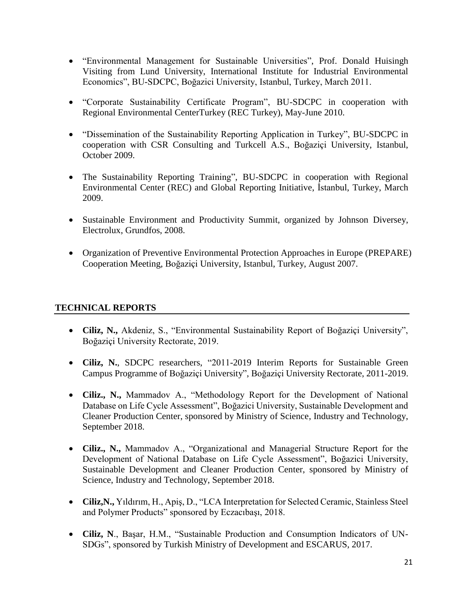- "Environmental Management for Sustainable Universities", Prof. Donald Huisingh Visiting from Lund University, International Institute for Industrial Environmental Economics", BU-SDCPC, Boğazici University, Istanbul, Turkey, March 2011.
- "Corporate Sustainability Certificate Program", BU-SDCPC in cooperation with Regional Environmental CenterTurkey (REC Turkey), May-June 2010.
- "Dissemination of the Sustainability Reporting Application in Turkey", BU-SDCPC in cooperation with CSR Consulting and Turkcell A.S., Boğaziçi University, Istanbul, October 2009.
- The Sustainability Reporting Training", BU-SDCPC in cooperation with Regional Environmental Center (REC) and Global Reporting Initiative, İstanbul, Turkey, March 2009.
- Sustainable Environment and Productivity Summit, organized by Johnson Diversey, Electrolux, Grundfos, 2008.
- Organization of Preventive Environmental Protection Approaches in Europe (PREPARE) Cooperation Meeting, Boğaziçi University, Istanbul, Turkey, August 2007.

## **TECHNICAL REPORTS**

- **Ciliz, N.,** Akdeniz, S., "Environmental Sustainability Report of Boğaziçi University", Boğaziçi University Rectorate, 2019.
- **Ciliz, N.**, SDCPC researchers, "2011-2019 Interim Reports for Sustainable Green Campus Programme of Boğaziçi University", Boğaziçi University Rectorate, 2011-2019.
- **Ciliz., N.,** Mammadov A., "Methodology Report for the Development of National Database on Life Cycle Assessment", Boğazici University, Sustainable Development and Cleaner Production Center, sponsored by Ministry of Science, Industry and Technology, September 2018.
- **Ciliz., N.,** Mammadov A., "Organizational and Managerial Structure Report for the Development of National Database on Life Cycle Assessment", Boğazici University, Sustainable Development and Cleaner Production Center, sponsored by Ministry of Science, Industry and Technology, September 2018.
- **Ciliz,N.,** Yıldırım, H., Apiş, D., "LCA Interpretation for Selected Ceramic, Stainless Steel and Polymer Products" sponsored by Eczacıbaşı, 2018.
- **Ciliz, N**., Başar, H.M., "Sustainable Production and Consumption Indicators of UN-SDGs", sponsored by Turkish Ministry of Development and ESCARUS, 2017.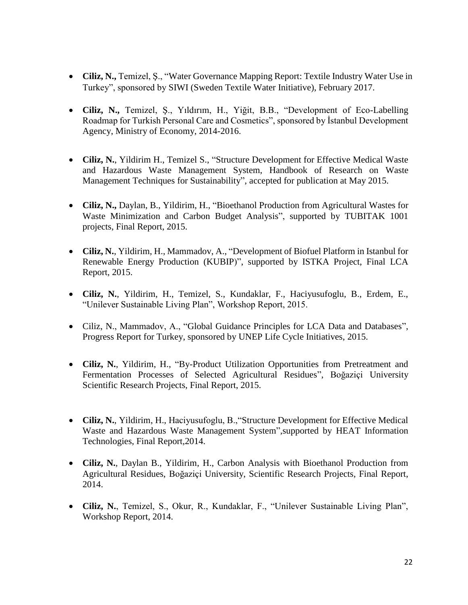- **Ciliz, N.,** Temizel, Ş., "Water Governance Mapping Report: Textile Industry Water Use in Turkey", sponsored by SIWI (Sweden Textile Water Initiative), February 2017.
- **Ciliz, N.,** Temizel, Ş., Yıldırım, H., Yiğit, B.B., "Development of Eco-Labelling Roadmap for Turkish Personal Care and Cosmetics", sponsored by İstanbul Development Agency, Ministry of Economy, 2014-2016.
- **Ciliz, N.**, Yildirim H., Temizel S., "Structure Development for Effective Medical Waste and Hazardous Waste Management System, Handbook of Research on Waste Management Techniques for Sustainability", accepted for publication at May 2015.
- **Ciliz, N.,** Daylan, B., Yildirim, H., "Bioethanol Production from Agricultural Wastes for Waste Minimization and Carbon Budget Analysis", supported by TUBITAK 1001 projects, Final Report, 2015.
- **Ciliz, N.**, Yildirim, H., Mammadov, A., "Development of Biofuel Platform in Istanbul for Renewable Energy Production (KUBIP)", supported by ISTKA Project, Final LCA Report, 2015.
- **Ciliz, N.**, Yildirim, H., Temizel, S., Kundaklar, F., Haciyusufoglu, B., Erdem, E., "Unilever Sustainable Living Plan", Workshop Report, 2015.
- Ciliz, N., Mammadov, A., "Global Guidance Principles for LCA Data and Databases", Progress Report for Turkey, sponsored by UNEP Life Cycle Initiatives, 2015.
- **Ciliz, N.**, Yildirim, H., "By-Product Utilization Opportunities from Pretreatment and Fermentation Processes of Selected Agricultural Residues", Boğaziçi University Scientific Research Projects, Final Report, 2015.
- **Ciliz, N.**, Yildirim, H., Haciyusufoglu, B.,"Structure Development for Effective Medical Waste and Hazardous Waste Management System",supported by HEAT Information Technologies, Final Report,2014.
- **Ciliz, N.**, Daylan B., Yildirim, H., Carbon Analysis with Bioethanol Production from Agricultural Residues, Boğaziçi University, Scientific Research Projects, Final Report, 2014.
- **Ciliz, N.**, Temizel, S., Okur, R., Kundaklar, F., "Unilever Sustainable Living Plan", Workshop Report, 2014.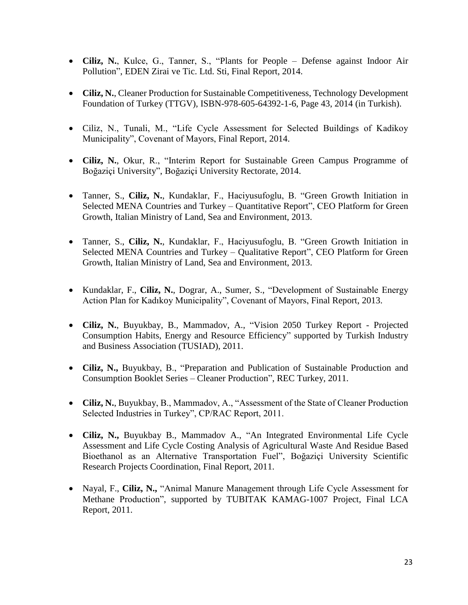- **Ciliz, N.**, Kulce, G., Tanner, S., "Plants for People Defense against Indoor Air Pollution", EDEN Zirai ve Tic. Ltd. Sti, Final Report, 2014.
- **Ciliz, N.**, Cleaner Production for Sustainable Competitiveness, Technology Development Foundation of Turkey (TTGV), ISBN-978-605-64392-1-6, Page 43, 2014 (in Turkish).
- Ciliz, N., Tunali, M., "Life Cycle Assessment for Selected Buildings of Kadikoy Municipality", Covenant of Mayors, Final Report, 2014.
- **Ciliz, N.**, Okur, R., "Interim Report for Sustainable Green Campus Programme of Boğaziçi University", Boğaziçi University Rectorate, 2014.
- Tanner, S., **Ciliz, N.**, Kundaklar, F., Haciyusufoglu, B. "Green Growth Initiation in Selected MENA Countries and Turkey – Quantitative Report", CEO Platform for Green Growth, Italian Ministry of Land, Sea and Environment, 2013.
- Tanner, S., **Ciliz, N.**, Kundaklar, F., Haciyusufoglu, B. "Green Growth Initiation in Selected MENA Countries and Turkey – Qualitative Report", CEO Platform for Green Growth, Italian Ministry of Land, Sea and Environment, 2013.
- Kundaklar, F., **Ciliz, N.**, Dograr, A., Sumer, S., "Development of Sustainable Energy Action Plan for Kadıkoy Municipality", Covenant of Mayors, Final Report, 2013.
- **Ciliz, N.**, Buyukbay, B., Mammadov, A., "Vision 2050 Turkey Report Projected Consumption Habits, Energy and Resource Efficiency" supported by Turkish Industry and Business Association (TUSIAD), 2011.
- **Ciliz, N.,** Buyukbay, B., "Preparation and Publication of Sustainable Production and Consumption Booklet Series – Cleaner Production", REC Turkey, 2011.
- **Ciliz, N.**, Buyukbay, B., Mammadov, A., "Assessment of the State of Cleaner Production Selected Industries in Turkey", CP/RAC Report, 2011.
- **Ciliz, N.,** Buyukbay B., Mammadov A., "An Integrated Environmental Life Cycle Assessment and Life Cycle Costing Analysis of Agricultural Waste And Residue Based Bioethanol as an Alternative Transportation Fuel", Boğaziçi University Scientific Research Projects Coordination, Final Report, 2011.
- Nayal, F., Ciliz, N., "Animal Manure Management through Life Cycle Assessment for Methane Production", supported by TUBITAK KAMAG-1007 Project, Final LCA Report, 2011.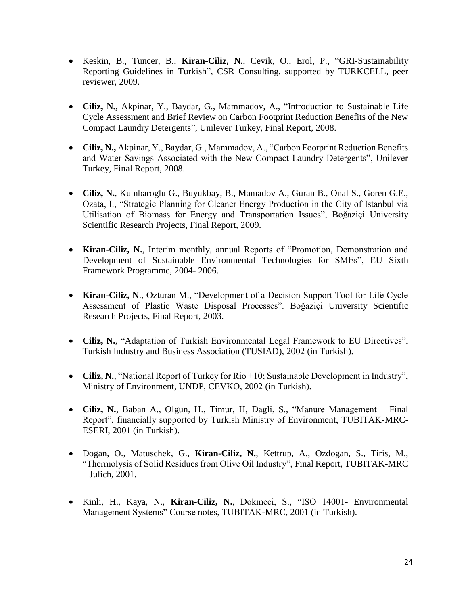- Keskin, B., Tuncer, B., **Kiran-Ciliz, N.**, Cevik, O., Erol, P., "GRI-Sustainability Reporting Guidelines in Turkish", CSR Consulting, supported by TURKCELL, peer reviewer, 2009.
- **Ciliz, N.,** Akpinar, Y., Baydar, G., Mammadov, A., "Introduction to Sustainable Life Cycle Assessment and Brief Review on Carbon Footprint Reduction Benefits of the New Compact Laundry Detergents", Unilever Turkey, Final Report, 2008.
- **Ciliz, N.,** Akpinar, Y., Baydar, G., Mammadov, A., "Carbon Footprint Reduction Benefits and Water Savings Associated with the New Compact Laundry Detergents", Unilever Turkey, Final Report, 2008.
- **Ciliz, N.**, Kumbaroglu G., Buyukbay, B., Mamadov A., Guran B., Onal S., Goren G.E., Ozata, I., "Strategic Planning for Cleaner Energy Production in the City of Istanbul via Utilisation of Biomass for Energy and Transportation Issues", Boğaziçi University Scientific Research Projects, Final Report, 2009.
- **Kiran-Ciliz, N.**, Interim monthly, annual Reports of "Promotion, Demonstration and Development of Sustainable Environmental Technologies for SMEs", EU Sixth Framework Programme, 2004- 2006.
- **Kiran-Ciliz, N**., Ozturan M., "Development of a Decision Support Tool for Life Cycle Assessment of Plastic Waste Disposal Processes". Boğaziçi University Scientific Research Projects, Final Report, 2003.
- **Ciliz, N.**, "Adaptation of Turkish Environmental Legal Framework to EU Directives", Turkish Industry and Business Association (TUSIAD), 2002 (in Turkish).
- **Ciliz, N.**, "National Report of Turkey for Rio +10; Sustainable Development in Industry", Ministry of Environment, UNDP, CEVKO, 2002 (in Turkish).
- **Ciliz, N.**, Baban A., Olgun, H., Timur, H, Dagli, S., "Manure Management Final Report", financially supported by Turkish Ministry of Environment, TUBITAK-MRC-ESERI, 2001 (in Turkish).
- Dogan, O., Matuschek, G., **Kiran-Ciliz, N.**, Kettrup, A., Ozdogan, S., Tiris, M., "Thermolysis of Solid Residues from Olive Oil Industry", Final Report, TUBITAK-MRC – Julich, 2001.
- Kinli, H., Kaya, N., **Kiran-Ciliz, N.**, Dokmeci, S., "ISO 14001- Environmental Management Systems" Course notes, TUBITAK-MRC, 2001 (in Turkish).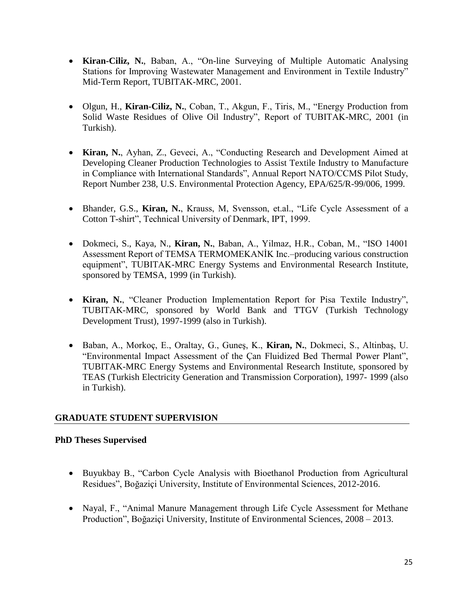- **Kiran-Ciliz, N.**, Baban, A., "On-line Surveying of Multiple Automatic Analysing Stations for Improving Wastewater Management and Environment in Textile Industry" Mid-Term Report, TUBITAK-MRC, 2001.
- Olgun, H., **Kiran-Ciliz, N.**, Coban, T., Akgun, F., Tiris, M., "Energy Production from Solid Waste Residues of Olive Oil Industry", Report of TUBITAK-MRC, 2001 (in Turkish).
- **Kiran, N.**, Ayhan, Z., Geveci, A., "Conducting Research and Development Aimed at Developing Cleaner Production Technologies to Assist Textile Industry to Manufacture in Compliance with International Standards", Annual Report NATO/CCMS Pilot Study, Report Number 238, U.S. Environmental Protection Agency, EPA/625/R-99/006, 1999.
- Bhander, G.S., **Kiran, N.**, Krauss, M, Svensson, et.al., "Life Cycle Assessment of a Cotton T-shirt", Technical University of Denmark, IPT, 1999.
- Dokmeci, S., Kaya, N., **Kiran, N.**, Baban, A., Yilmaz, H.R., Coban, M., "ISO 14001 Assessment Report of TEMSA TERMOMEKANİK Inc.–producing various construction equipment", TUBITAK-MRC Energy Systems and Environmental Research Institute, sponsored by TEMSA, 1999 (in Turkish).
- **Kiran, N.**, "Cleaner Production Implementation Report for Pisa Textile Industry", TUBITAK-MRC, sponsored by World Bank and TTGV (Turkish Technology Development Trust), 1997-1999 (also in Turkish).
- Baban, A., Morkoç, E., Oraltay, G., Guneş, K., **Kiran, N.**, Dokmeci, S., Altinbaş, U. "Environmental Impact Assessment of the Çan Fluidized Bed Thermal Power Plant", TUBITAK-MRC Energy Systems and Environmental Research Institute, sponsored by TEAS (Turkish Electricity Generation and Transmission Corporation), 1997- 1999 (also in Turkish).

## **GRADUATE STUDENT SUPERVISION**

## **PhD Theses Supervised**

- Buyukbay B., "Carbon Cycle Analysis with Bioethanol Production from Agricultural Residues", Boğaziçi University, Institute of Environmental Sciences, 2012-2016.
- Nayal, F., "Animal Manure Management through Life Cycle Assessment for Methane Production", Boğaziçi University, Institute of Environmental Sciences, 2008 – 2013.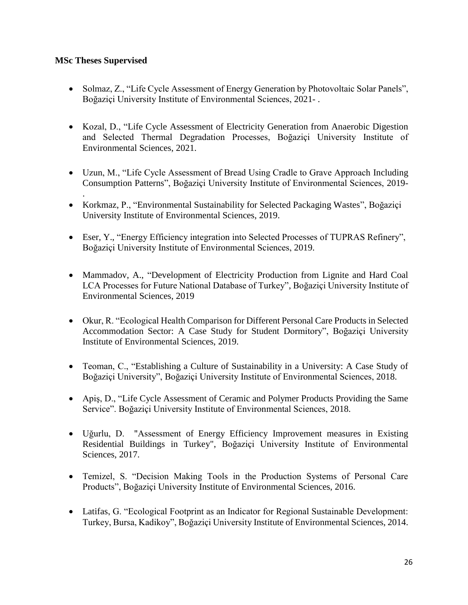## **MSc Theses Supervised**

.

- Solmaz, Z., "Life Cycle Assessment of Energy Generation by Photovoltaic Solar Panels", Boğaziçi University Institute of Environmental Sciences, 2021- .
- Kozal, D., "Life Cycle Assessment of Electricity Generation from Anaerobic Digestion and Selected Thermal Degradation Processes, Boğaziçi University Institute of Environmental Sciences, 2021.
- Uzun, M., "Life Cycle Assessment of Bread Using Cradle to Grave Approach Including Consumption Patterns", Boğaziçi University Institute of Environmental Sciences, 2019-
- Korkmaz, P., "Environmental Sustainability for Selected Packaging Wastes", Boğaziçi University Institute of Environmental Sciences, 2019.
- Eser, Y., "Energy Efficiency integration into Selected Processes of TUPRAS Refinery", Boğaziçi University Institute of Environmental Sciences, 2019.
- Mammadov, A., "Development of Electricity Production from Lignite and Hard Coal LCA Processes for Future National Database of Turkey", Boğaziçi University Institute of Environmental Sciences, 2019
- Okur, R. "Ecological Health Comparison for Different Personal Care Products in Selected Accommodation Sector: A Case Study for Student Dormitory", Boğaziçi University Institute of Environmental Sciences, 2019.
- Teoman, C., "Establishing a Culture of Sustainability in a University: A Case Study of Boğaziçi University", Boğaziçi University Institute of Environmental Sciences, 2018.
- Apiş, D., "Life Cycle Assessment of Ceramic and Polymer Products Providing the Same Service". Boğaziçi University Institute of Environmental Sciences, 2018.
- Uğurlu, D. "Assessment of Energy Efficiency Improvement measures in Existing Residential Buildings in Turkey", Boğaziçi University Institute of Environmental Sciences, 2017.
- Temizel, S. "Decision Making Tools in the Production Systems of Personal Care Products", Boğaziçi University Institute of Environmental Sciences, 2016.
- Latifas, G. "Ecological Footprint as an Indicator for Regional Sustainable Development: Turkey, Bursa, Kadikoy", Boğaziçi University Institute of Environmental Sciences, 2014.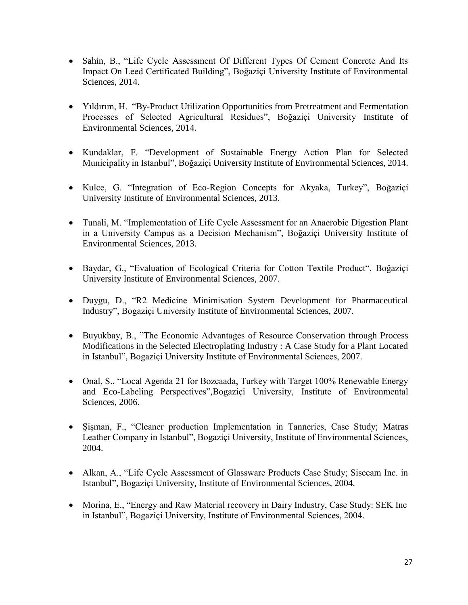- Sahin, B., "Life Cycle Assessment Of Different Types Of Cement Concrete And Its Impact On Leed Certificated Building", Boğaziçi University Institute of Environmental Sciences, 2014.
- Yıldırım, H. "By-Product Utilization Opportunities from Pretreatment and Fermentation Processes of Selected Agricultural Residues", Boğaziçi University Institute of Environmental Sciences, 2014.
- Kundaklar, F. "Development of Sustainable Energy Action Plan for Selected Municipality in Istanbul", Boğaziçi University Institute of Environmental Sciences, 2014.
- Kulce, G. "Integration of Eco-Region Concepts for Akyaka, Turkey", Boğaziçi University Institute of Environmental Sciences, 2013.
- Tunali, M. "Implementation of Life Cycle Assessment for an Anaerobic Digestion Plant in a University Campus as a Decision Mechanism", Boğaziçi University Institute of Environmental Sciences, 2013.
- Baydar, G., "Evaluation of Ecological Criteria for Cotton Textile Product", Boğaziçi University Institute of Environmental Sciences, 2007.
- Duygu, D., "R2 Medicine Minimisation System Development for Pharmaceutical Industry", Bogaziçi University Institute of Environmental Sciences, 2007.
- Buyukbay, B., "The Economic Advantages of Resource Conservation through Process Modifications in the Selected Electroplating Industry : A Case Study for a Plant Located in Istanbul", Bogaziçi University Institute of Environmental Sciences, 2007.
- Onal, S., "Local Agenda 21 for Bozcaada, Turkey with Target 100% Renewable Energy and Eco-Labeling Perspectives",Bogaziçi University, Institute of Environmental Sciences, 2006.
- Sisman, F., "Cleaner production Implementation in Tanneries, Case Study; Matras Leather Company in Istanbul", Bogaziçi University, Institute of Environmental Sciences, 2004.
- Alkan, A., "Life Cycle Assessment of Glassware Products Case Study; Sisecam Inc. in Istanbul", Bogaziçi University, Institute of Environmental Sciences, 2004.
- Morina, E., "Energy and Raw Material recovery in Dairy Industry, Case Study: SEK Inc in Istanbul", Bogaziçi University, Institute of Environmental Sciences, 2004.